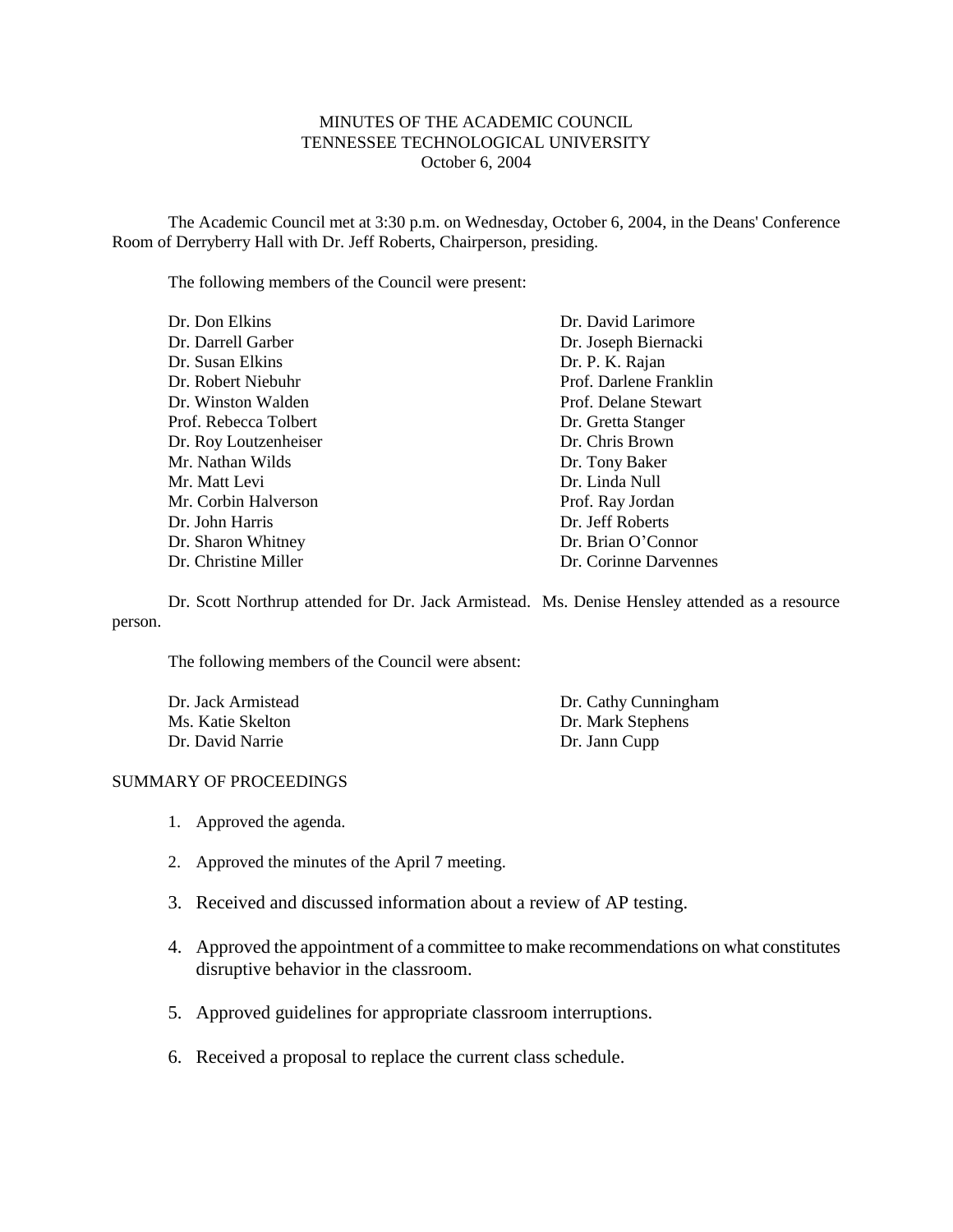### MINUTES OF THE ACADEMIC COUNCIL TENNESSEE TECHNOLOGICAL UNIVERSITY October 6, 2004

The Academic Council met at 3:30 p.m. on Wednesday, October 6, 2004, in the Deans' Conference Room of Derryberry Hall with Dr. Jeff Roberts, Chairperson, presiding.

The following members of the Council were present:

| Dr. Don Elkins        | Dr. David Larimore     |
|-----------------------|------------------------|
| Dr. Darrell Garber    | Dr. Joseph Biernacki   |
| Dr. Susan Elkins      | Dr. P. K. Rajan        |
| Dr. Robert Niebuhr    | Prof. Darlene Franklin |
| Dr. Winston Walden    | Prof. Delane Stewart   |
| Prof. Rebecca Tolbert | Dr. Gretta Stanger     |
| Dr. Roy Loutzenheiser | Dr. Chris Brown        |
| Mr. Nathan Wilds      | Dr. Tony Baker         |
| Mr. Matt Levi         | Dr. Linda Null         |
| Mr. Corbin Halverson  | Prof. Ray Jordan       |
| Dr. John Harris       | Dr. Jeff Roberts       |
| Dr. Sharon Whitney    | Dr. Brian O'Connor     |
| Dr. Christine Miller  | Dr. Corinne Darvennes  |

Dr. Scott Northrup attended for Dr. Jack Armistead. Ms. Denise Hensley attended as a resource person.

The following members of the Council were absent:

Dr. Jack Armistead Ms. Katie Skelton Dr. David Narrie

Dr. Cathy Cunningham Dr. Mark Stephens Dr. Jann Cupp

#### SUMMARY OF PROCEEDINGS

- 1. Approved the agenda.
- 2. Approved the minutes of the April 7 meeting.
- 3. Received and discussed information about a review of AP testing.
- 4. Approved the appointment of a committee to make recommendations on what constitutes disruptive behavior in the classroom.
- 5. Approved guidelines for appropriate classroom interruptions.
- 6. Received a proposal to replace the current class schedule.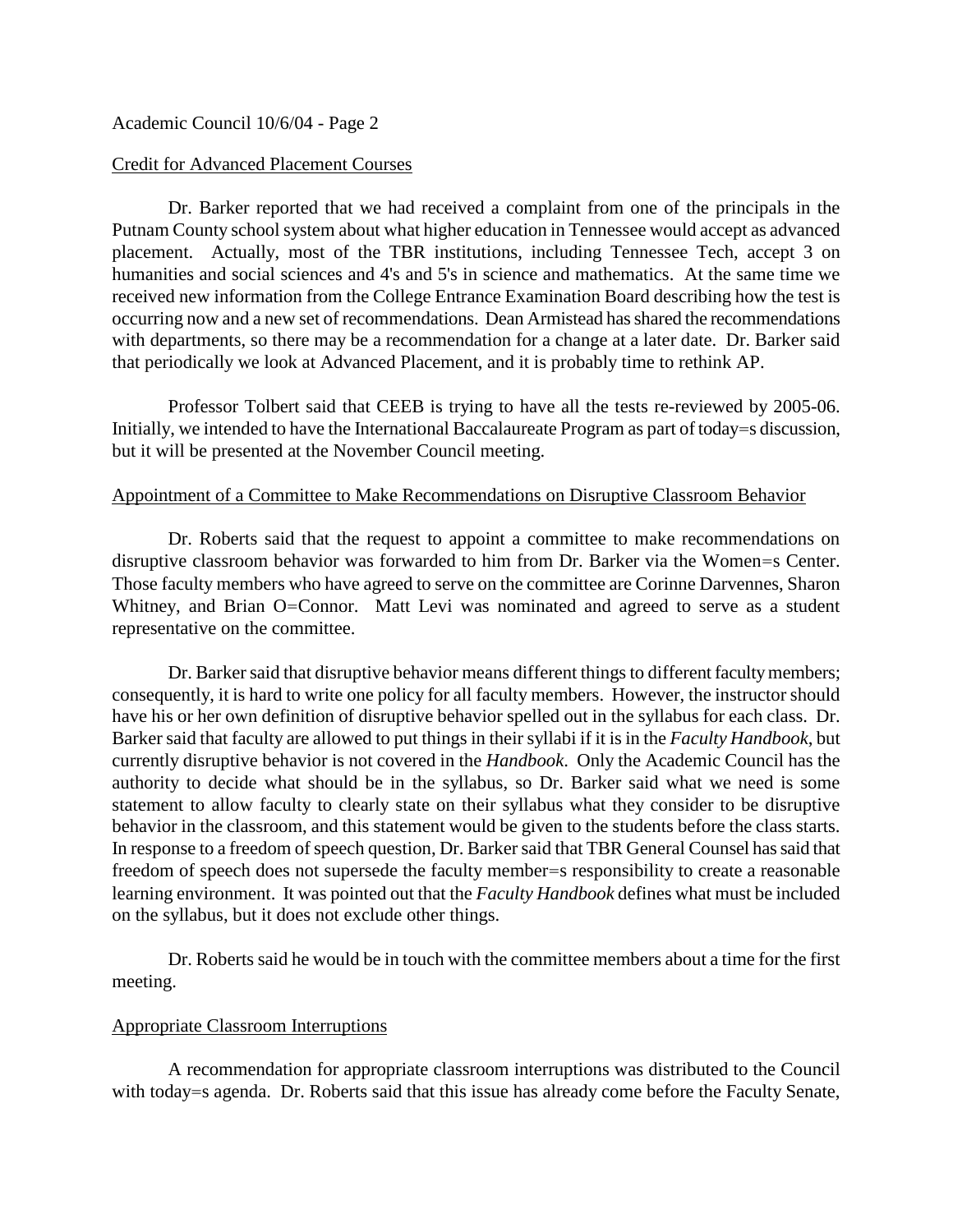## Academic Council 10/6/04 - Page 2

#### Credit for Advanced Placement Courses

Dr. Barker reported that we had received a complaint from one of the principals in the Putnam County school system about what higher education in Tennessee would accept as advanced placement. Actually, most of the TBR institutions, including Tennessee Tech, accept 3 on humanities and social sciences and 4's and 5's in science and mathematics. At the same time we received new information from the College Entrance Examination Board describing how the test is occurring now and a new set of recommendations. Dean Armistead has shared the recommendations with departments, so there may be a recommendation for a change at a later date. Dr. Barker said that periodically we look at Advanced Placement, and it is probably time to rethink AP.

Professor Tolbert said that CEEB is trying to have all the tests re-reviewed by 2005-06. Initially, we intended to have the International Baccalaureate Program as part of today=s discussion, but it will be presented at the November Council meeting.

### Appointment of a Committee to Make Recommendations on Disruptive Classroom Behavior

Dr. Roberts said that the request to appoint a committee to make recommendations on disruptive classroom behavior was forwarded to him from Dr. Barker via the Women=s Center. Those faculty members who have agreed to serve on the committee are Corinne Darvennes, Sharon Whitney, and Brian O=Connor. Matt Levi was nominated and agreed to serve as a student representative on the committee.

Dr. Barker said that disruptive behavior means different things to different faculty members; consequently, it is hard to write one policy for all faculty members. However, the instructor should have his or her own definition of disruptive behavior spelled out in the syllabus for each class. Dr. Barker said that faculty are allowed to put things in their syllabi if it is in the *Faculty Handbook*, but currently disruptive behavior is not covered in the *Handbook*. Only the Academic Council has the authority to decide what should be in the syllabus, so Dr. Barker said what we need is some statement to allow faculty to clearly state on their syllabus what they consider to be disruptive behavior in the classroom, and this statement would be given to the students before the class starts. In response to a freedom of speech question, Dr. Barker said that TBR General Counsel has said that freedom of speech does not supersede the faculty member=s responsibility to create a reasonable learning environment. It was pointed out that the *Faculty Handbook* defines what must be included on the syllabus, but it does not exclude other things.

Dr. Roberts said he would be in touch with the committee members about a time for the first meeting.

### Appropriate Classroom Interruptions

A recommendation for appropriate classroom interruptions was distributed to the Council with today=s agenda. Dr. Roberts said that this issue has already come before the Faculty Senate,